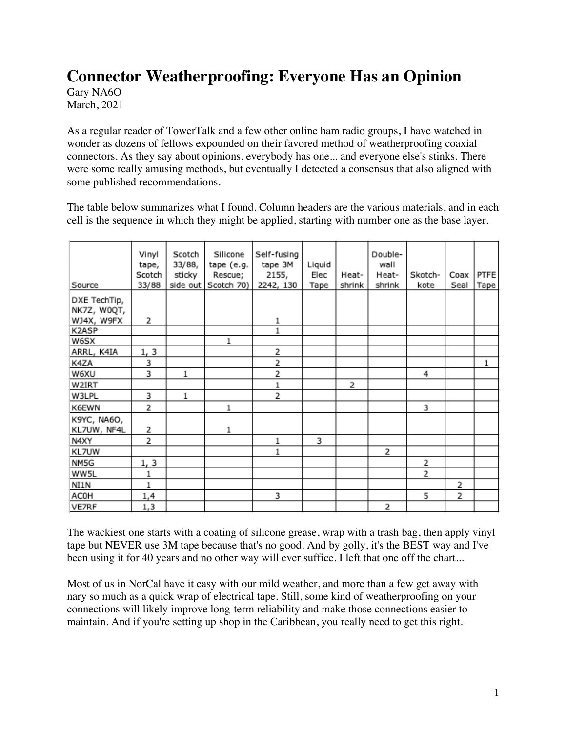# **Connector Weatherproofing: Everyone Has an Opinion**

Gary NA6O March, 2021

As a regular reader of TowerTalk and a few other online ham radio groups, I have watched in wonder as dozens of fellows expounded on their favored method of weatherproofing coaxial connectors. As they say about opinions, everybody has one... and everyone else's stinks. There were some really amusing methods, but eventually I detected a consensus that also aligned with some published recommendations.

The table below summarizes what I found. Column headers are the various materials, and in each cell is the sequence in which they might be applied, starting with number one as the base layer.

| Source                                    | Vinyl<br>tape,<br>Scotch<br>33/88 | Scotch<br>33/88,<br>sticky | Silicone<br>tape (e.g.<br>Rescue;<br>side out Scotch 70) | Self-fusing<br>tape 3M<br>2155,<br>2242, 130 | Liquid<br>Elec<br>Tape | Heat-<br>shrink | Double-<br>wall<br>Heat-<br>shrink | Skotch-<br>kote | Coax<br>Seal | PTFE<br>Tape |
|-------------------------------------------|-----------------------------------|----------------------------|----------------------------------------------------------|----------------------------------------------|------------------------|-----------------|------------------------------------|-----------------|--------------|--------------|
| DXE TechTip,<br>NK7Z, W0QT,<br>WJ4X, W9FX | 2                                 |                            |                                                          | $\mathbf{1}$                                 |                        |                 |                                    |                 |              |              |
| K2ASP                                     |                                   |                            |                                                          | $\overline{1}$                               |                        |                 |                                    |                 |              |              |
| W6SX                                      |                                   |                            | $\,1$                                                    |                                              |                        |                 |                                    |                 |              |              |
| ARRL, K4IA                                | 1, 3                              |                            |                                                          | 2                                            |                        |                 |                                    |                 |              |              |
| K4ZA                                      | 3                                 |                            |                                                          | 2                                            |                        |                 |                                    |                 |              | 1            |
| W6XU                                      | 3                                 | 1                          |                                                          | 2                                            |                        |                 |                                    | 4               |              |              |
| W2IRT                                     |                                   |                            |                                                          | $\,1$                                        |                        | 2               |                                    |                 |              |              |
| W3LPL                                     | 3                                 | 1                          |                                                          | 2                                            |                        |                 |                                    |                 |              |              |
| K6EWN                                     | 2                                 |                            | $\,1$                                                    |                                              |                        |                 |                                    | 3               |              |              |
| K9YC, NA6O,                               |                                   |                            |                                                          |                                              |                        |                 |                                    |                 |              |              |
| KL7UW, NF4L                               | 2                                 |                            | 1                                                        |                                              |                        |                 |                                    |                 |              |              |
| N4XY                                      | 2                                 |                            |                                                          | 1                                            | 3                      |                 |                                    |                 |              |              |
| KL7UW                                     |                                   |                            |                                                          | $\,1$                                        |                        |                 | 2                                  |                 |              |              |
| NM5G                                      | 1, 3                              |                            |                                                          |                                              |                        |                 |                                    | 2               |              |              |
| WW5L                                      | 1                                 |                            |                                                          |                                              |                        |                 |                                    | 2               |              |              |
| NI1N                                      | $\,1$                             |                            |                                                          |                                              |                        |                 |                                    |                 | 2            |              |
| ACOH                                      | 1,4                               |                            |                                                          | 3                                            |                        |                 |                                    | 5               | 2            |              |
| VE7RF                                     | 1,3                               |                            |                                                          |                                              |                        |                 | 2                                  |                 |              |              |

The wackiest one starts with a coating of silicone grease, wrap with a trash bag, then apply vinyl tape but NEVER use 3M tape because that's no good. And by golly, it's the BEST way and I've been using it for 40 years and no other way will ever suffice. I left that one off the chart...

Most of us in NorCal have it easy with our mild weather, and more than a few get away with nary so much as a quick wrap of electrical tape. Still, some kind of weatherproofing on your connections will likely improve long-term reliability and make those connections easier to maintain. And if you're setting up shop in the Caribbean, you really need to get this right.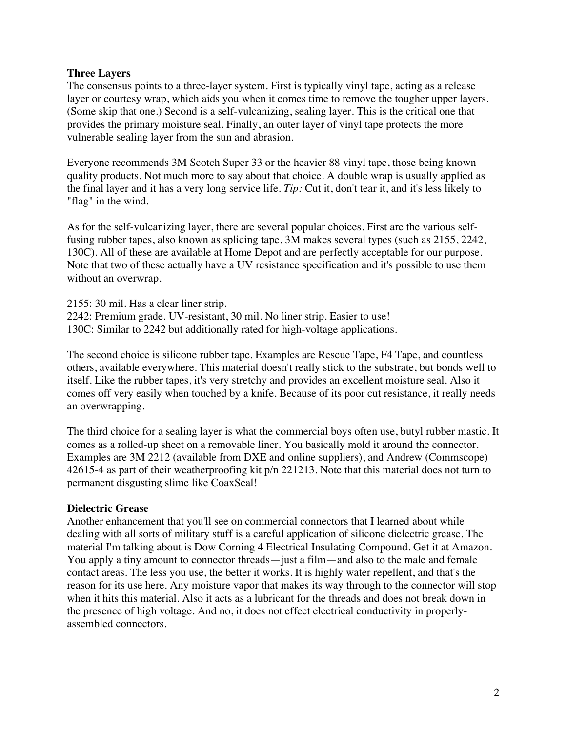#### **Three Layers**

The consensus points to a three-layer system. First is typically vinyl tape, acting as a release layer or courtesy wrap, which aids you when it comes time to remove the tougher upper layers. (Some skip that one.) Second is a self-vulcanizing, sealing layer. This is the critical one that provides the primary moisture seal. Finally, an outer layer of vinyl tape protects the more vulnerable sealing layer from the sun and abrasion.

Everyone recommends 3M Scotch Super 33 or the heavier 88 vinyl tape, those being known quality products. Not much more to say about that choice. A double wrap is usually applied as the final layer and it has a very long service life. *Tip:* Cut it, don't tear it, and it's less likely to "flag" in the wind.

As for the self-vulcanizing layer, there are several popular choices. First are the various selffusing rubber tapes, also known as splicing tape. 3M makes several types (such as 2155, 2242, 130C). All of these are available at Home Depot and are perfectly acceptable for our purpose. Note that two of these actually have a UV resistance specification and it's possible to use them without an overwrap.

2155: 30 mil. Has a clear liner strip. 2242: Premium grade. UV-resistant, 30 mil. No liner strip. Easier to use! 130C: Similar to 2242 but additionally rated for high-voltage applications.

The second choice is silicone rubber tape. Examples are Rescue Tape, F4 Tape, and countless others, available everywhere. This material doesn't really stick to the substrate, but bonds well to itself. Like the rubber tapes, it's very stretchy and provides an excellent moisture seal. Also it comes off very easily when touched by a knife. Because of its poor cut resistance, it really needs an overwrapping.

The third choice for a sealing layer is what the commercial boys often use, butyl rubber mastic. It comes as a rolled-up sheet on a removable liner. You basically mold it around the connector. Examples are 3M 2212 (available from DXE and online suppliers), and Andrew (Commscope) 42615-4 as part of their weatherproofing kit p/n 221213. Note that this material does not turn to permanent disgusting slime like CoaxSeal!

#### **Dielectric Grease**

Another enhancement that you'll see on commercial connectors that I learned about while dealing with all sorts of military stuff is a careful application of silicone dielectric grease. The material I'm talking about is Dow Corning 4 Electrical Insulating Compound. Get it at Amazon. You apply a tiny amount to connector threads—just a film—and also to the male and female contact areas. The less you use, the better it works. It is highly water repellent, and that's the reason for its use here. Any moisture vapor that makes its way through to the connector will stop when it hits this material. Also it acts as a lubricant for the threads and does not break down in the presence of high voltage. And no, it does not effect electrical conductivity in properlyassembled connectors.